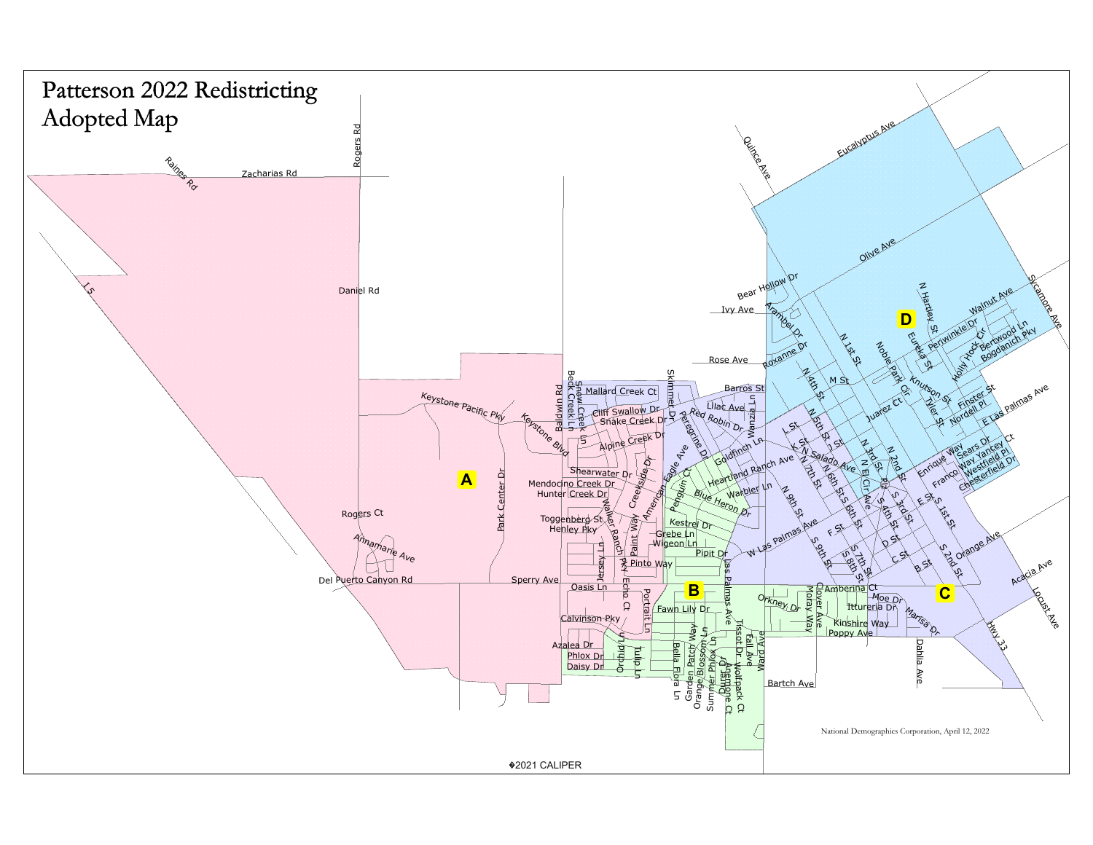